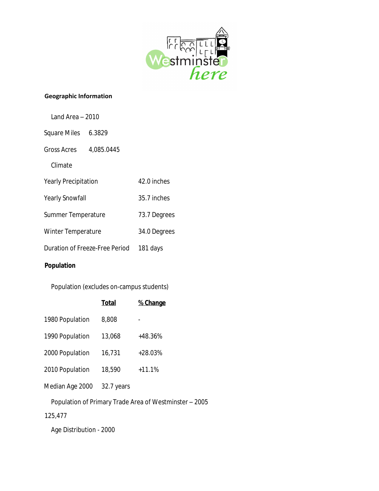

#### **Geographic Information**

| Land Area - 2010               |  |              |
|--------------------------------|--|--------------|
| Square Miles 6.3829            |  |              |
| Gross Acres 4,085.0445         |  |              |
| Climate                        |  |              |
| <b>Yearly Precipitation</b>    |  | 42.0 inches  |
| <b>Yearly Snowfall</b>         |  | 35.7 inches  |
| Summer Temperature             |  | 73.7 Degrees |
| <b>Winter Temperature</b>      |  | 34.0 Degrees |
| Duration of Freeze-Free Period |  | 181 days     |
|                                |  |              |

## **Population**

Population (excludes on-campus students)

|                 | <b>Total</b> | % Change  |
|-----------------|--------------|-----------|
| 1980 Population | 8,808        |           |
| 1990 Population | 13,068       | +48.36%   |
| 2000 Population | 16,731       | $+28.03%$ |
| 2010 Population | 18,590       | $+11.1%$  |
| Median Age 2000 | 32.7 years   |           |

Population of Primary Trade Area of Westminster – 2005

125,477

Age Distribution - 2000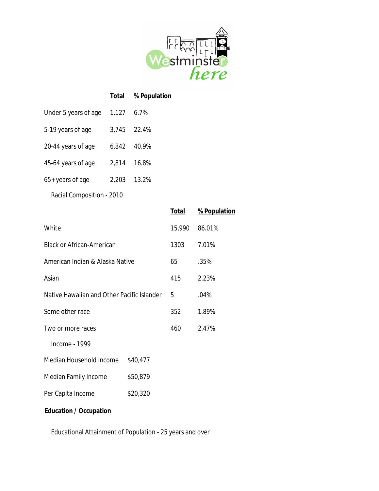

|                           | Total | % Population |
|---------------------------|-------|--------------|
| Under 5 years of age      | 1,127 | 6.7%         |
| 5-19 years of age         |       | 3.745 22.4%  |
| 20-44 years of age        | 6,842 | 40.9%        |
| 45-64 years of age        | 2,814 | 16.8%        |
| 65+ years of age          | 2,203 | 13.2%        |
| Racial Composition - 2010 |       |              |

|                                            |          | <b>Total</b> | % Population |
|--------------------------------------------|----------|--------------|--------------|
| White                                      |          | 15,990       | 86.01%       |
| <b>Black or African-American</b>           |          | 1303         | 7.01%        |
| American Indian & Alaska Native            |          | 65           | .35%         |
| Asian                                      |          | 415          | 2.23%        |
| Native Hawaiian and Other Pacific Islander |          | 5            | .04%         |
| Some other race                            |          | 352          | 1.89%        |
| Two or more races                          |          | 460          | 2.47%        |
| Income - 1999                              |          |              |              |
| Median Household Income                    | \$40,477 |              |              |
| Median Family Income                       | \$50,879 |              |              |
| Per Capita Income                          | \$20,320 |              |              |
|                                            |          |              |              |

## **Education / Occupation**

Educational Attainment of Population - 25 years and over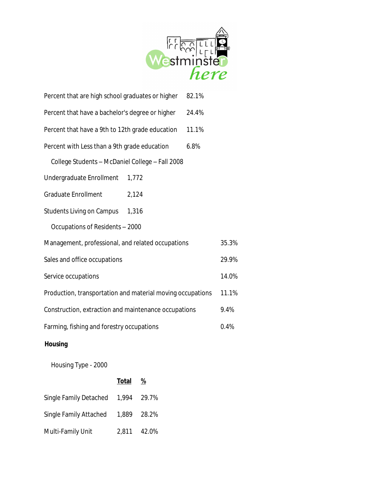

| Percent that are high school graduates or higher           |       | 82.1% |       |
|------------------------------------------------------------|-------|-------|-------|
| Percent that have a bachelor's degree or higher            |       | 24.4% |       |
| Percent that have a 9th to 12th grade education            |       | 11.1% |       |
| Percent with Less than a 9th grade education<br>6.8%       |       |       |       |
| College Students - McDaniel College - Fall 2008            |       |       |       |
| Undergraduate Enrollment                                   | 1,772 |       |       |
| <b>Graduate Enrollment</b>                                 | 2,124 |       |       |
| <b>Students Living on Campus</b>                           | 1,316 |       |       |
| Occupations of Residents - 2000                            |       |       |       |
| Management, professional, and related occupations          |       |       | 35.3% |
| Sales and office occupations                               |       |       | 29.9% |
| Service occupations                                        |       |       | 14.0% |
| Production, transportation and material moving occupations |       |       | 11.1% |
| Construction, extraction and maintenance occupations       |       |       | 9.4%  |
| Farming, fishing and forestry occupations                  |       |       | 0.4%  |
|                                                            |       |       |       |

# **Housing**

Housing Type - 2000

|                                    | <b>Total</b> | %           |
|------------------------------------|--------------|-------------|
| Single Family Detached 1,994 29.7% |              |             |
| Single Family Attached             |              | 1,889 28.2% |
| Multi-Family Unit                  |              | 2,811 42.0% |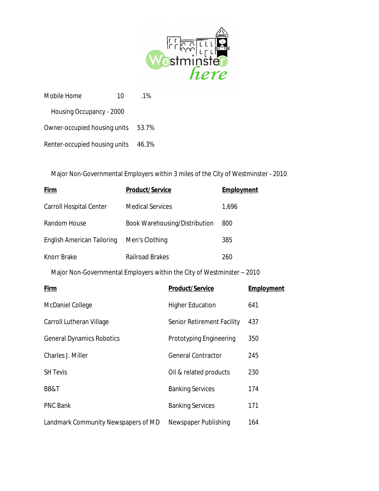

| Mobile Home                   | 10 | 1 <sup>%</sup> |
|-------------------------------|----|----------------|
| Housing Occupancy - 2000      |    |                |
| Owner-occupied housing units  |    | 53.7%          |
| Renter-occupied housing units |    | 46.3%          |

Major Non-Governmental Employers within 3 miles of the City of Westminster - 2010

| Firm                                                                   | <b>Product/Service</b>        | <b>Employment</b> |
|------------------------------------------------------------------------|-------------------------------|-------------------|
| Carroll Hospital Center                                                | <b>Medical Services</b>       | 1,696             |
| Random House                                                           | Book Warehousing/Distribution | 800               |
| <b>English American Tailoring</b>                                      | Men's Clothing                | 385               |
| Knorr Brake                                                            | Railroad Brakes               | 260               |
| Major Non-Governmental Employers within the City of Westminster – 2010 |                               |                   |

| <b>Firm</b>                         | <b>Product/Service</b>     | <b>Employment</b> |
|-------------------------------------|----------------------------|-------------------|
| McDaniel College                    | <b>Higher Education</b>    | 641               |
| Carroll Lutheran Village            | Senior Retirement Facility | 437               |
| <b>General Dynamics Robotics</b>    | Prototyping Engineering    | 350               |
| Charles J. Miller                   | <b>General Contractor</b>  | 245               |
| <b>SH Tevis</b>                     | Oil & related products     | 230               |
| BB&T                                | <b>Banking Services</b>    | 174               |
| <b>PNC Bank</b>                     | <b>Banking Services</b>    | 171               |
| Landmark Community Newspapers of MD | Newspaper Publishing       | 164               |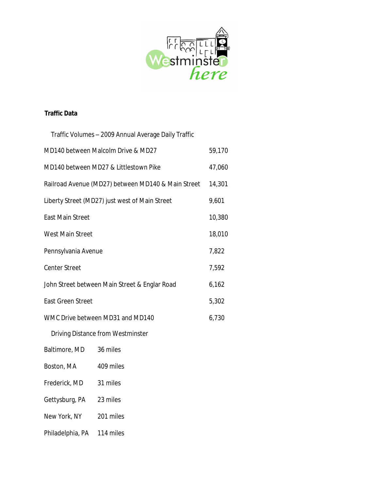

### **Traffic Data**

| Traffic Volumes – 2009 Annual Average Daily Traffic |        |
|-----------------------------------------------------|--------|
| MD140 between Malcolm Drive & MD27                  | 59,170 |
| MD140 between MD27 & Littlestown Pike               | 47,060 |
| Railroad Avenue (MD27) between MD140 & Main Street  | 14,301 |
| Liberty Street (MD27) just west of Main Street      | 9,601  |
| <b>East Main Street</b>                             | 10,380 |
| West Main Street                                    | 18,010 |
| Pennsylvania Avenue                                 | 7,822  |
| <b>Center Street</b>                                | 7,592  |
| John Street between Main Street & Englar Road       | 6,162  |
| <b>East Green Street</b>                            | 5,302  |
| WMC Drive between MD31 and MD140                    |        |
| Driving Distance from Westminster                   |        |
| Baltimore, MD<br>36 miles                           |        |

- Boston, MA 409 miles
- Frederick, MD 31 miles
- Gettysburg, PA 23 miles
- New York, NY 201 miles
- Philadelphia, PA 114 miles